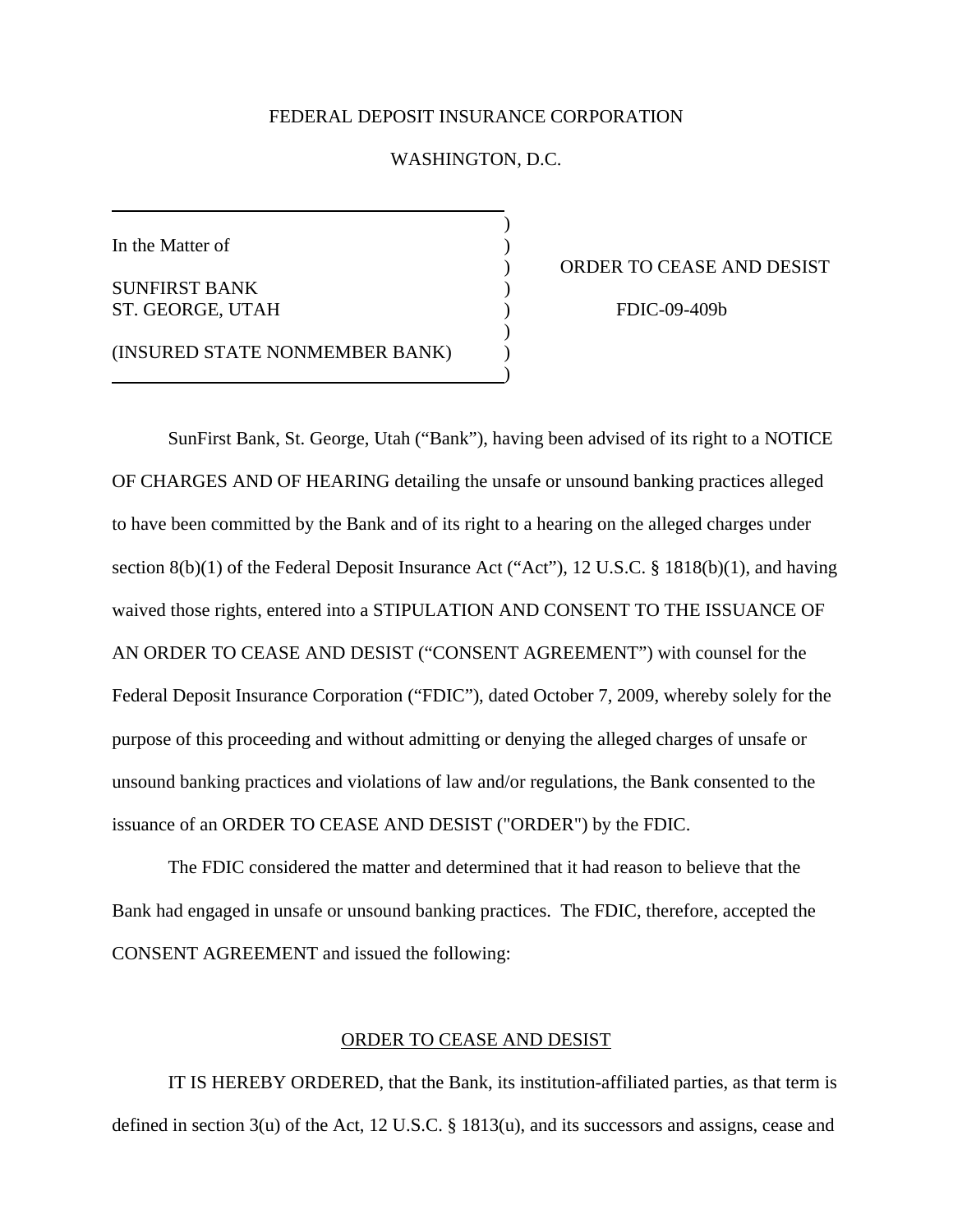## FEDERAL DEPOSIT INSURANCE CORPORATION

## WASHINGTON, D.C.

)

In the Matter of  $\hspace{1.5cm}$  )

SUNFIRST BANK (1997) ST. GEORGE, UTAH ) FDIC-09-409b

) ORDER TO CEASE AND DESIST

(INSURED STATE NONMEMBER BANK) )

 $)$ 

 $)$ 

 SunFirst Bank, St. George, Utah ("Bank"), having been advised of its right to a NOTICE OF CHARGES AND OF HEARING detailing the unsafe or unsound banking practices alleged to have been committed by the Bank and of its right to a hearing on the alleged charges under section 8(b)(1) of the Federal Deposit Insurance Act ("Act"), 12 U.S.C. § 1818(b)(1), and having waived those rights, entered into a STIPULATION AND CONSENT TO THE ISSUANCE OF AN ORDER TO CEASE AND DESIST ("CONSENT AGREEMENT") with counsel for the Federal Deposit Insurance Corporation ("FDIC"), dated October 7, 2009, whereby solely for the purpose of this proceeding and without admitting or denying the alleged charges of unsafe or unsound banking practices and violations of law and/or regulations, the Bank consented to the issuance of an ORDER TO CEASE AND DESIST ("ORDER") by the FDIC.

 The FDIC considered the matter and determined that it had reason to believe that the Bank had engaged in unsafe or unsound banking practices. The FDIC, therefore, accepted the CONSENT AGREEMENT and issued the following:

## ORDER TO CEASE AND DESIST

 IT IS HEREBY ORDERED, that the Bank, its institution-affiliated parties, as that term is defined in section 3(u) of the Act, 12 U.S.C. § 1813(u), and its successors and assigns, cease and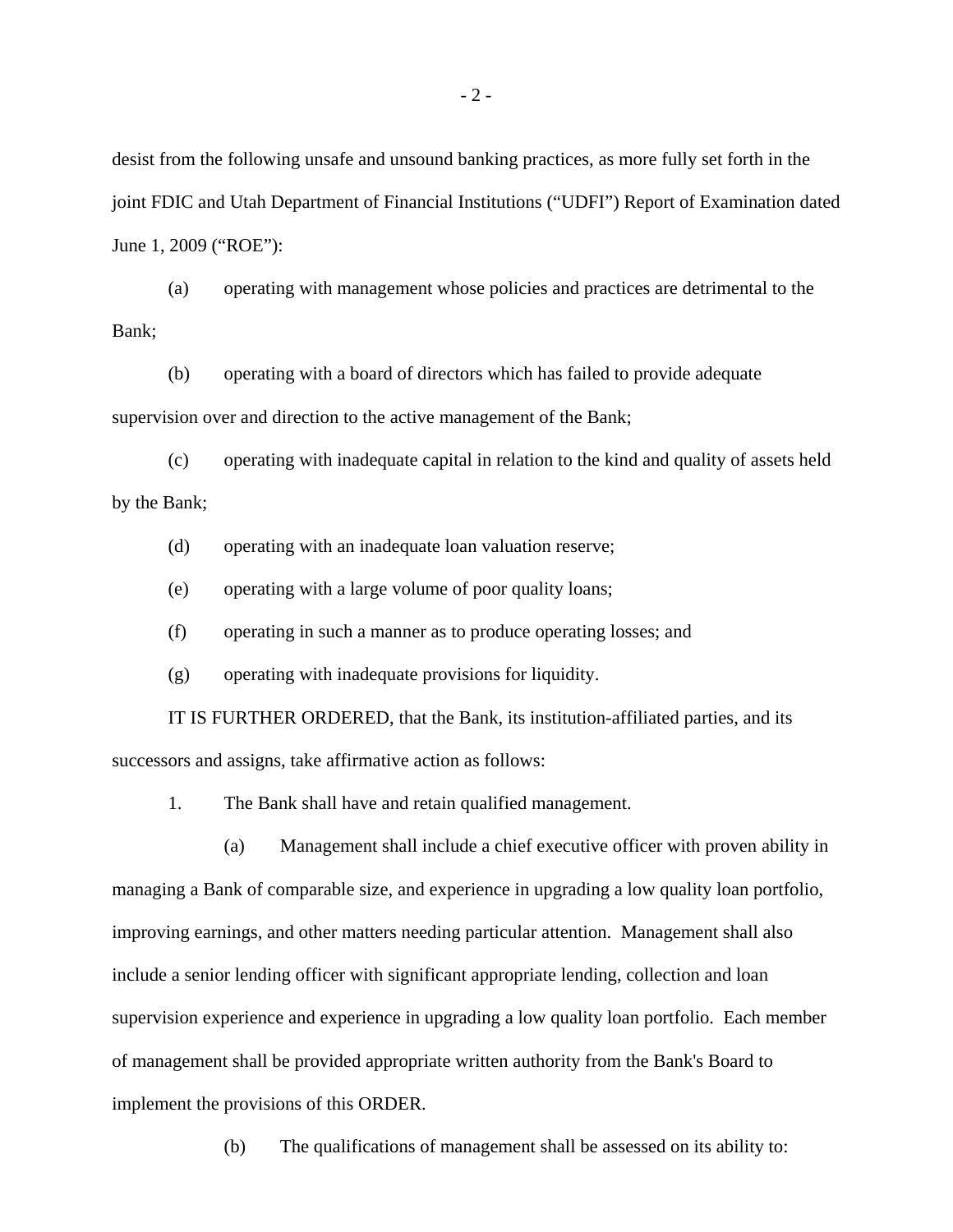desist from the following unsafe and unsound banking practices, as more fully set forth in the joint FDIC and Utah Department of Financial Institutions ("UDFI") Report of Examination dated June 1, 2009 ("ROE"):

(a) operating with management whose policies and practices are detrimental to the Bank;

(b) operating with a board of directors which has failed to provide adequate supervision over and direction to the active management of the Bank;

(c) operating with inadequate capital in relation to the kind and quality of assets held by the Bank;

(d) operating with an inadequate loan valuation reserve;

(e) operating with a large volume of poor quality loans;

(f) operating in such a manner as to produce operating losses; and

(g) operating with inadequate provisions for liquidity.

 IT IS FURTHER ORDERED, that the Bank, its institution-affiliated parties, and its successors and assigns, take affirmative action as follows:

1. The Bank shall have and retain qualified management.

(a) Management shall include a chief executive officer with proven ability in managing a Bank of comparable size, and experience in upgrading a low quality loan portfolio, improving earnings, and other matters needing particular attention. Management shall also include a senior lending officer with significant appropriate lending, collection and loan supervision experience and experience in upgrading a low quality loan portfolio. Each member of management shall be provided appropriate written authority from the Bank's Board to implement the provisions of this ORDER.

(b) The qualifications of management shall be assessed on its ability to: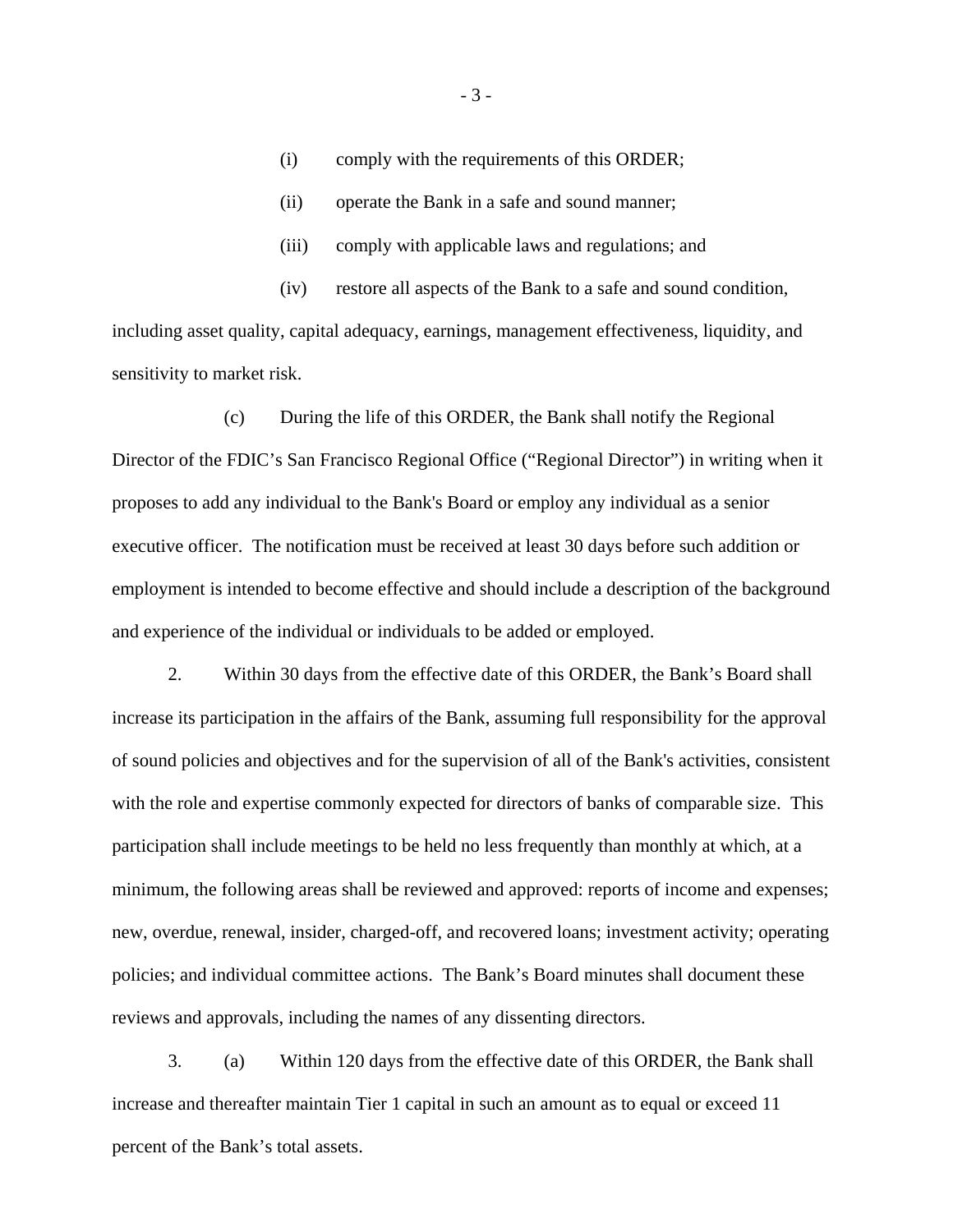- (i) comply with the requirements of this ORDER;
- (ii) operate the Bank in a safe and sound manner;
- (iii) comply with applicable laws and regulations; and

(iv) restore all aspects of the Bank to a safe and sound condition,

including asset quality, capital adequacy, earnings, management effectiveness, liquidity, and sensitivity to market risk.

(c) During the life of this ORDER, the Bank shall notify the Regional Director of the FDIC's San Francisco Regional Office ("Regional Director") in writing when it proposes to add any individual to the Bank's Board or employ any individual as a senior executive officer. The notification must be received at least 30 days before such addition or employment is intended to become effective and should include a description of the background and experience of the individual or individuals to be added or employed.

2. Within 30 days from the effective date of this ORDER, the Bank's Board shall increase its participation in the affairs of the Bank, assuming full responsibility for the approval of sound policies and objectives and for the supervision of all of the Bank's activities, consistent with the role and expertise commonly expected for directors of banks of comparable size. This participation shall include meetings to be held no less frequently than monthly at which, at a minimum, the following areas shall be reviewed and approved: reports of income and expenses; new, overdue, renewal, insider, charged-off, and recovered loans; investment activity; operating policies; and individual committee actions. The Bank's Board minutes shall document these reviews and approvals, including the names of any dissenting directors.

3. (a) Within 120 days from the effective date of this ORDER, the Bank shall increase and thereafter maintain Tier 1 capital in such an amount as to equal or exceed 11 percent of the Bank's total assets.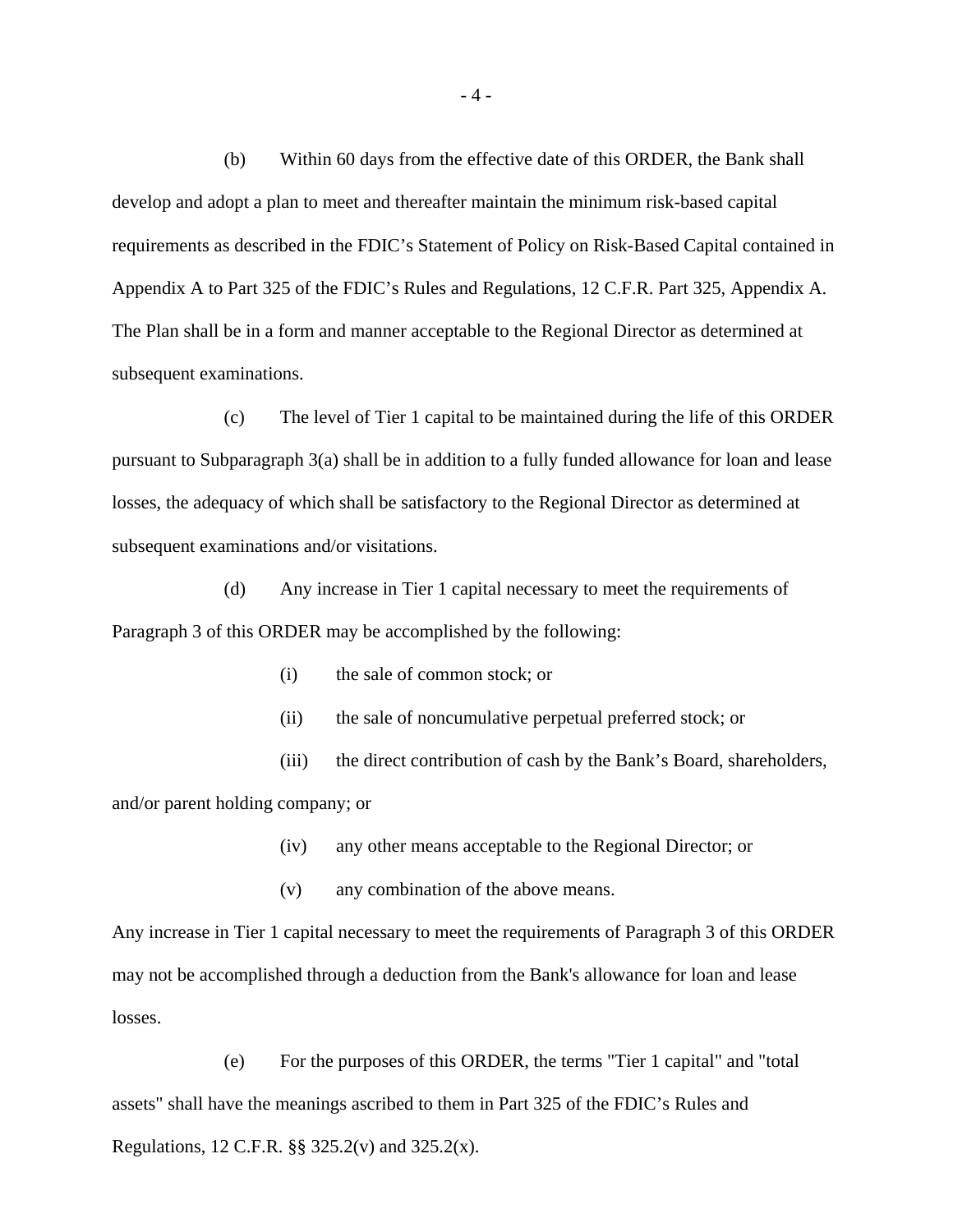(b) Within 60 days from the effective date of this ORDER, the Bank shall develop and adopt a plan to meet and thereafter maintain the minimum risk-based capital requirements as described in the FDIC's Statement of Policy on Risk-Based Capital contained in Appendix A to Part 325 of the FDIC's Rules and Regulations, 12 C.F.R. Part 325, Appendix A. The Plan shall be in a form and manner acceptable to the Regional Director as determined at subsequent examinations.

(c) The level of Tier 1 capital to be maintained during the life of this ORDER pursuant to Subparagraph 3(a) shall be in addition to a fully funded allowance for loan and lease losses, the adequacy of which shall be satisfactory to the Regional Director as determined at subsequent examinations and/or visitations.

(d) Any increase in Tier 1 capital necessary to meet the requirements of Paragraph 3 of this ORDER may be accomplished by the following:

- (i) the sale of common stock; or
- (ii) the sale of noncumulative perpetual preferred stock; or
- (iii) the direct contribution of cash by the Bank's Board, shareholders,

and/or parent holding company; or

- (iv) any other means acceptable to the Regional Director; or
- (v) any combination of the above means.

Any increase in Tier 1 capital necessary to meet the requirements of Paragraph 3 of this ORDER may not be accomplished through a deduction from the Bank's allowance for loan and lease losses.

(e) For the purposes of this ORDER, the terms "Tier 1 capital" and "total assets" shall have the meanings ascribed to them in Part 325 of the FDIC's Rules and Regulations, 12 C.F.R. §§ 325.2(v) and 325.2(x).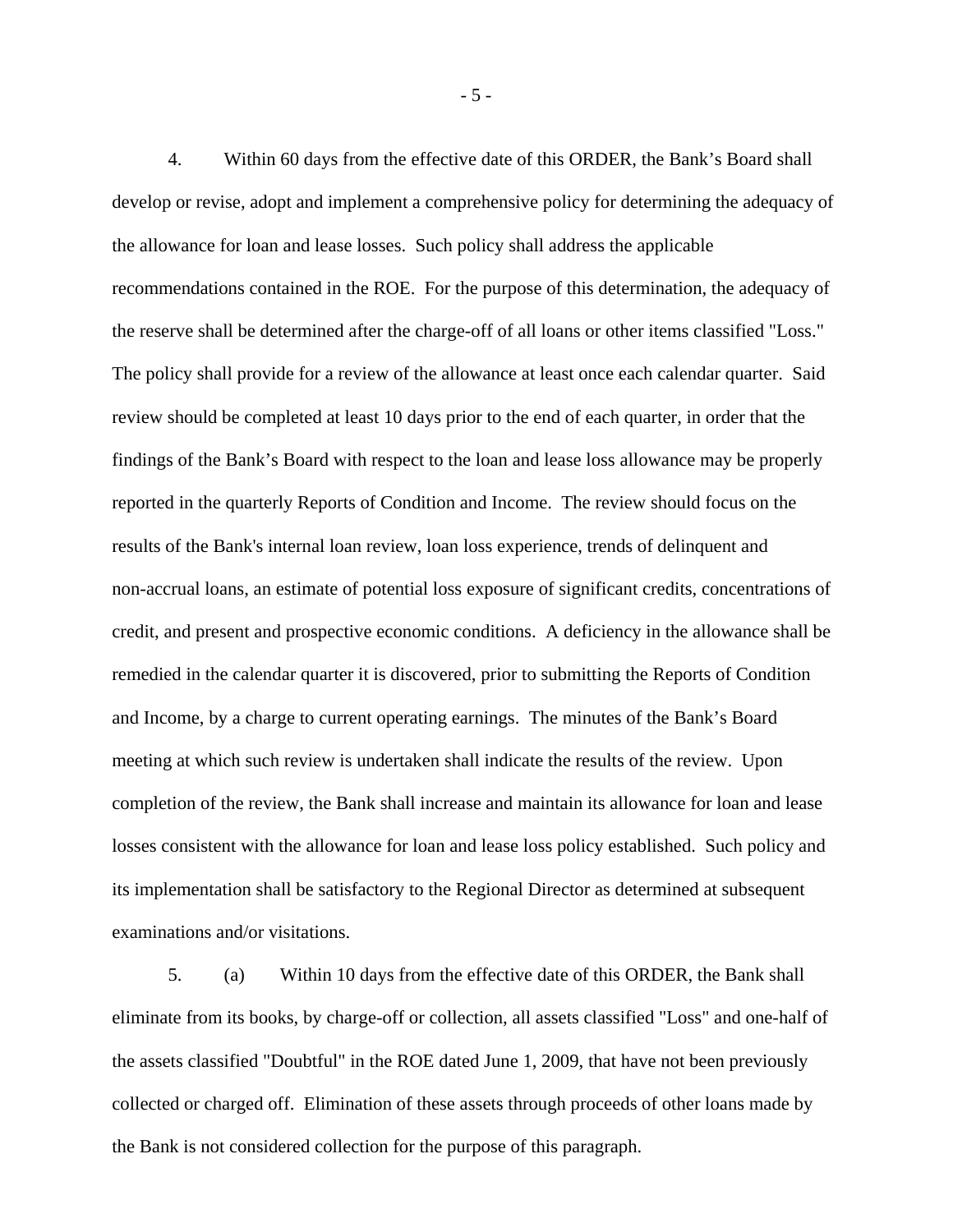4. Within 60 days from the effective date of this ORDER, the Bank's Board shall develop or revise, adopt and implement a comprehensive policy for determining the adequacy of the allowance for loan and lease losses. Such policy shall address the applicable recommendations contained in the ROE. For the purpose of this determination, the adequacy of the reserve shall be determined after the charge-off of all loans or other items classified "Loss." The policy shall provide for a review of the allowance at least once each calendar quarter. Said review should be completed at least 10 days prior to the end of each quarter, in order that the findings of the Bank's Board with respect to the loan and lease loss allowance may be properly reported in the quarterly Reports of Condition and Income. The review should focus on the results of the Bank's internal loan review, loan loss experience, trends of delinquent and non-accrual loans, an estimate of potential loss exposure of significant credits, concentrations of credit, and present and prospective economic conditions. A deficiency in the allowance shall be remedied in the calendar quarter it is discovered, prior to submitting the Reports of Condition and Income, by a charge to current operating earnings. The minutes of the Bank's Board meeting at which such review is undertaken shall indicate the results of the review. Upon completion of the review, the Bank shall increase and maintain its allowance for loan and lease losses consistent with the allowance for loan and lease loss policy established. Such policy and its implementation shall be satisfactory to the Regional Director as determined at subsequent examinations and/or visitations.

5. (a) Within 10 days from the effective date of this ORDER, the Bank shall eliminate from its books, by charge-off or collection, all assets classified "Loss" and one-half of the assets classified "Doubtful" in the ROE dated June 1, 2009, that have not been previously collected or charged off. Elimination of these assets through proceeds of other loans made by the Bank is not considered collection for the purpose of this paragraph.

- 5 -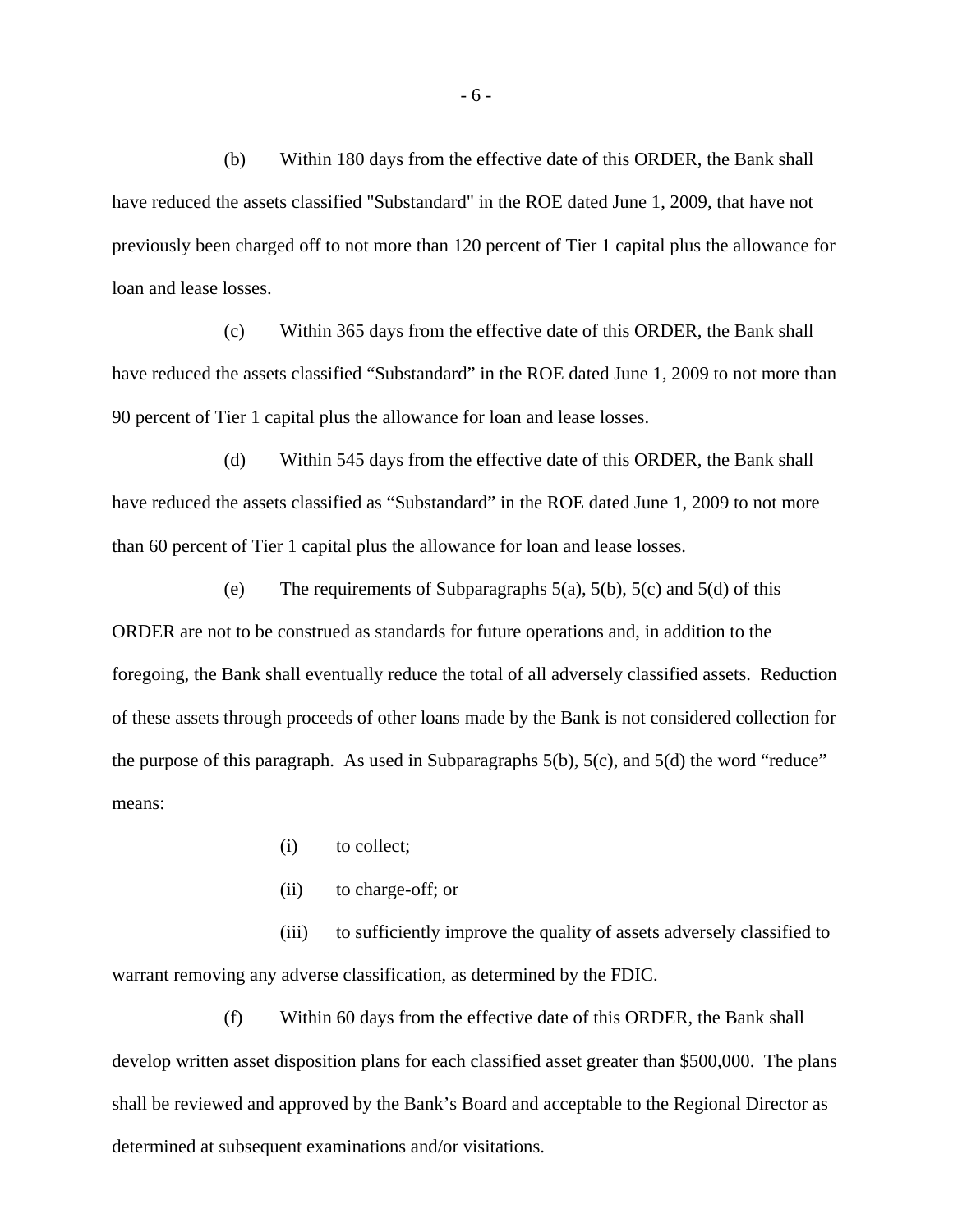(b) Within 180 days from the effective date of this ORDER, the Bank shall have reduced the assets classified "Substandard" in the ROE dated June 1, 2009, that have not previously been charged off to not more than 120 percent of Tier 1 capital plus the allowance for loan and lease losses.

(c) Within 365 days from the effective date of this ORDER, the Bank shall have reduced the assets classified "Substandard" in the ROE dated June 1, 2009 to not more than 90 percent of Tier 1 capital plus the allowance for loan and lease losses.

(d) Within 545 days from the effective date of this ORDER, the Bank shall have reduced the assets classified as "Substandard" in the ROE dated June 1, 2009 to not more than 60 percent of Tier 1 capital plus the allowance for loan and lease losses.

(e) The requirements of Subparagraphs  $5(a)$ ,  $5(b)$ ,  $5(c)$  and  $5(d)$  of this ORDER are not to be construed as standards for future operations and, in addition to the foregoing, the Bank shall eventually reduce the total of all adversely classified assets. Reduction of these assets through proceeds of other loans made by the Bank is not considered collection for the purpose of this paragraph. As used in Subparagraphs 5(b), 5(c), and 5(d) the word "reduce" means:

- (i) to collect;
- (ii) to charge-off; or

(iii) to sufficiently improve the quality of assets adversely classified to warrant removing any adverse classification, as determined by the FDIC.

(f) Within 60 days from the effective date of this ORDER, the Bank shall develop written asset disposition plans for each classified asset greater than \$500,000. The plans shall be reviewed and approved by the Bank's Board and acceptable to the Regional Director as determined at subsequent examinations and/or visitations.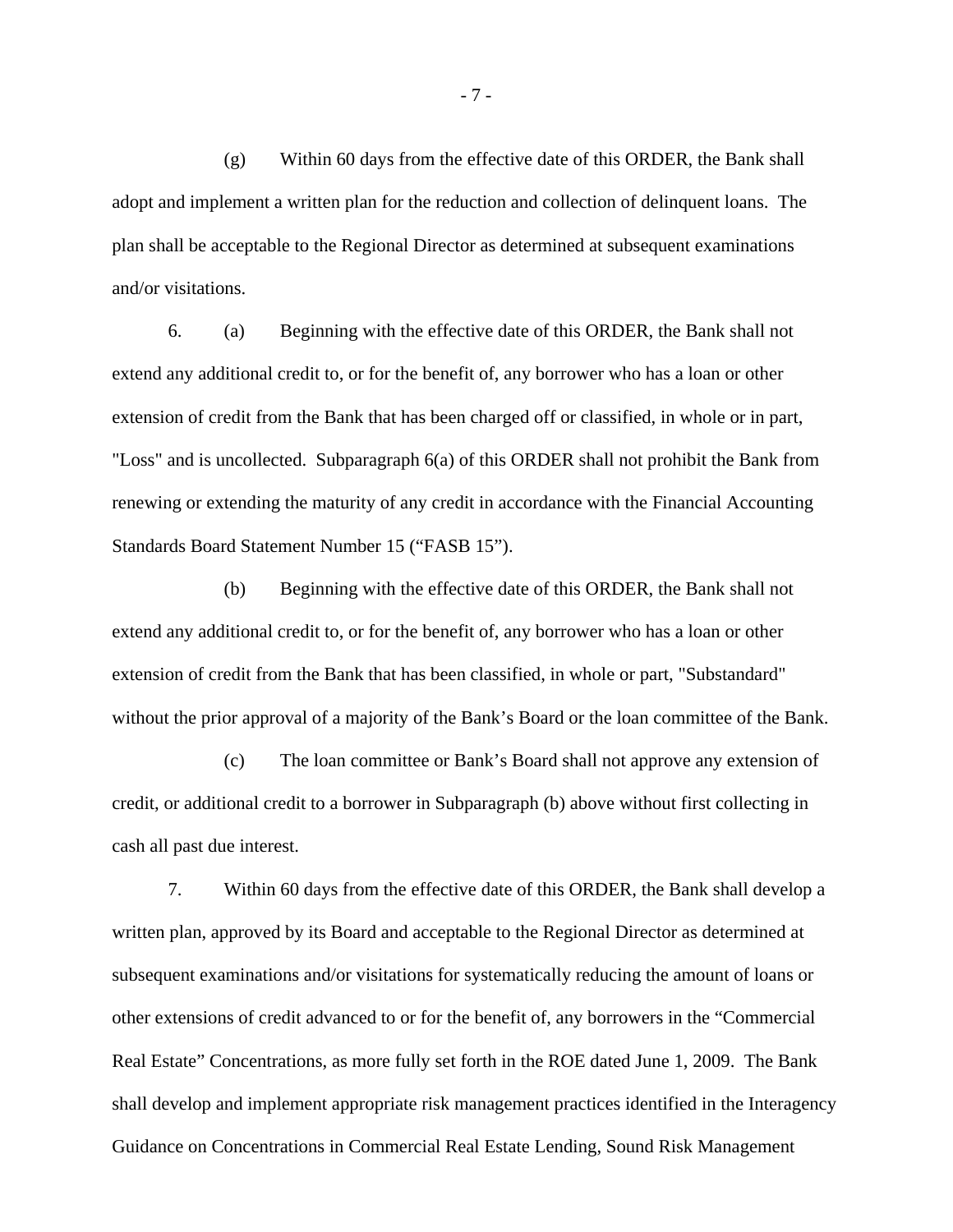$(g)$  Within 60 days from the effective date of this ORDER, the Bank shall adopt and implement a written plan for the reduction and collection of delinquent loans. The plan shall be acceptable to the Regional Director as determined at subsequent examinations and/or visitations.

6. (a) Beginning with the effective date of this ORDER, the Bank shall not extend any additional credit to, or for the benefit of, any borrower who has a loan or other extension of credit from the Bank that has been charged off or classified, in whole or in part, "Loss" and is uncollected. Subparagraph 6(a) of this ORDER shall not prohibit the Bank from renewing or extending the maturity of any credit in accordance with the Financial Accounting Standards Board Statement Number 15 ("FASB 15").

(b) Beginning with the effective date of this ORDER, the Bank shall not extend any additional credit to, or for the benefit of, any borrower who has a loan or other extension of credit from the Bank that has been classified, in whole or part, "Substandard" without the prior approval of a majority of the Bank's Board or the loan committee of the Bank.

(c) The loan committee or Bank's Board shall not approve any extension of credit, or additional credit to a borrower in Subparagraph (b) above without first collecting in cash all past due interest.

7. Within 60 days from the effective date of this ORDER, the Bank shall develop a written plan, approved by its Board and acceptable to the Regional Director as determined at subsequent examinations and/or visitations for systematically reducing the amount of loans or other extensions of credit advanced to or for the benefit of, any borrowers in the "Commercial Real Estate" Concentrations, as more fully set forth in the ROE dated June 1, 2009. The Bank shall develop and implement appropriate risk management practices identified in the Interagency Guidance on Concentrations in Commercial Real Estate Lending, Sound Risk Management

- 7 -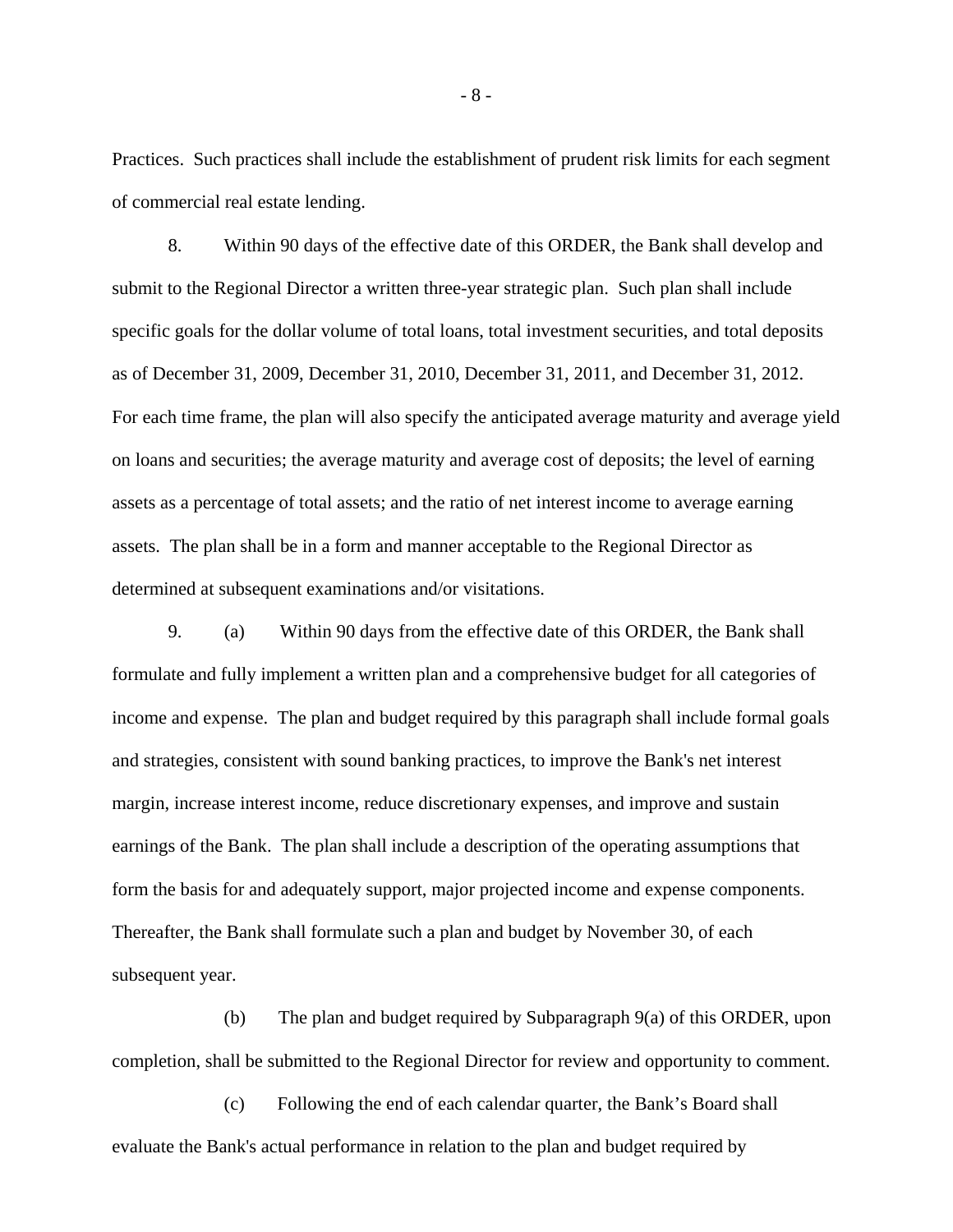Practices. Such practices shall include the establishment of prudent risk limits for each segment of commercial real estate lending.

8. Within 90 days of the effective date of this ORDER, the Bank shall develop and submit to the Regional Director a written three-year strategic plan. Such plan shall include specific goals for the dollar volume of total loans, total investment securities, and total deposits as of December 31, 2009, December 31, 2010, December 31, 2011, and December 31, 2012. For each time frame, the plan will also specify the anticipated average maturity and average yield on loans and securities; the average maturity and average cost of deposits; the level of earning assets as a percentage of total assets; and the ratio of net interest income to average earning assets. The plan shall be in a form and manner acceptable to the Regional Director as determined at subsequent examinations and/or visitations.

 9. (a) Within 90 days from the effective date of this ORDER, the Bank shall formulate and fully implement a written plan and a comprehensive budget for all categories of income and expense. The plan and budget required by this paragraph shall include formal goals and strategies, consistent with sound banking practices, to improve the Bank's net interest margin, increase interest income, reduce discretionary expenses, and improve and sustain earnings of the Bank. The plan shall include a description of the operating assumptions that form the basis for and adequately support, major projected income and expense components. Thereafter, the Bank shall formulate such a plan and budget by November 30, of each subsequent year.

 (b) The plan and budget required by Subparagraph 9(a) of this ORDER, upon completion, shall be submitted to the Regional Director for review and opportunity to comment.

 (c) Following the end of each calendar quarter, the Bank's Board shall evaluate the Bank's actual performance in relation to the plan and budget required by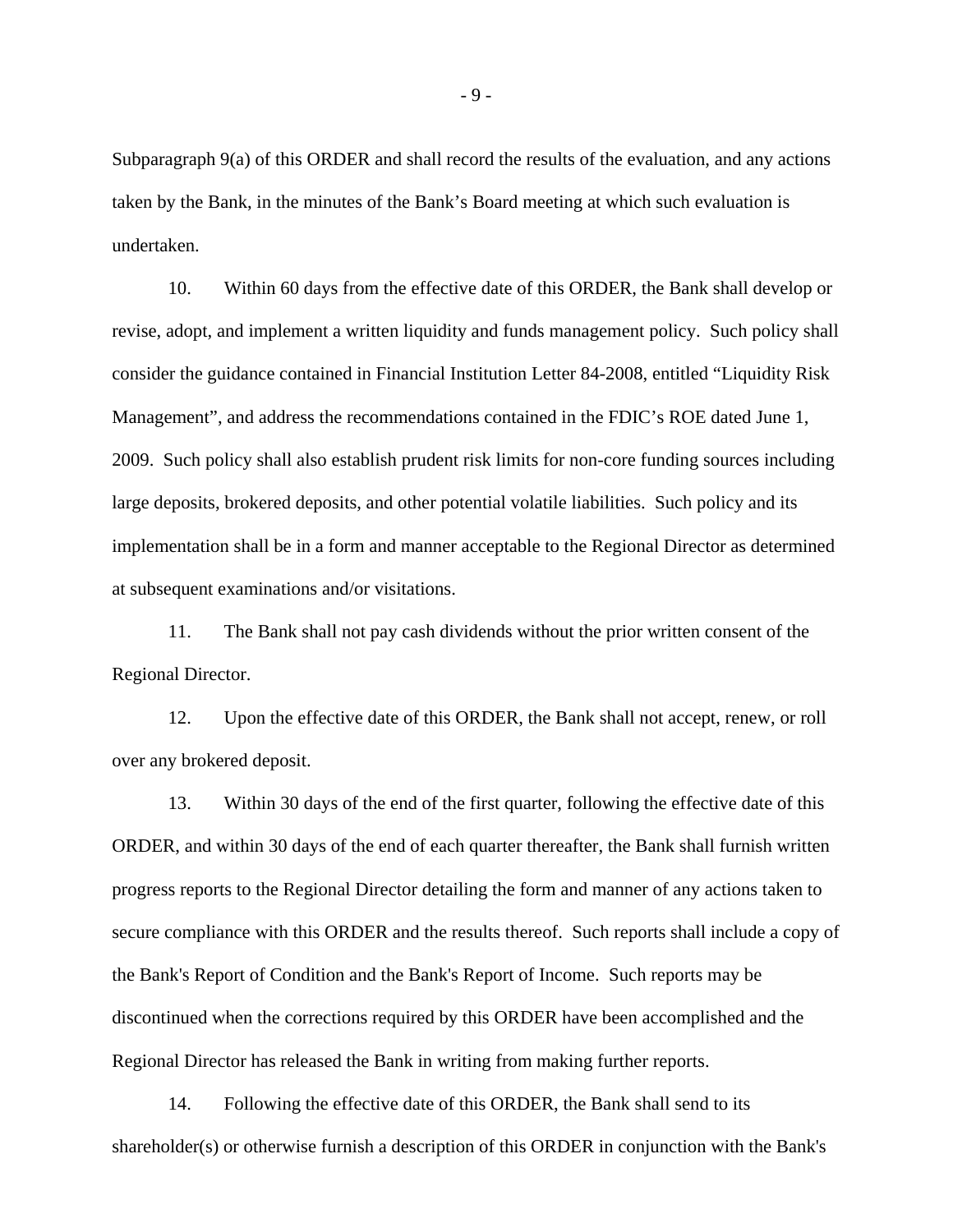Subparagraph 9(a) of this ORDER and shall record the results of the evaluation, and any actions taken by the Bank, in the minutes of the Bank's Board meeting at which such evaluation is undertaken.

 10. Within 60 days from the effective date of this ORDER, the Bank shall develop or revise, adopt, and implement a written liquidity and funds management policy. Such policy shall consider the guidance contained in Financial Institution Letter 84-2008, entitled "Liquidity Risk Management", and address the recommendations contained in the FDIC's ROE dated June 1, 2009. Such policy shall also establish prudent risk limits for non-core funding sources including large deposits, brokered deposits, and other potential volatile liabilities. Such policy and its implementation shall be in a form and manner acceptable to the Regional Director as determined at subsequent examinations and/or visitations.

 11. The Bank shall not pay cash dividends without the prior written consent of the Regional Director.

 12. Upon the effective date of this ORDER, the Bank shall not accept, renew, or roll over any brokered deposit.

 13. Within 30 days of the end of the first quarter, following the effective date of this ORDER, and within 30 days of the end of each quarter thereafter, the Bank shall furnish written progress reports to the Regional Director detailing the form and manner of any actions taken to secure compliance with this ORDER and the results thereof. Such reports shall include a copy of the Bank's Report of Condition and the Bank's Report of Income. Such reports may be discontinued when the corrections required by this ORDER have been accomplished and the Regional Director has released the Bank in writing from making further reports.

 14. Following the effective date of this ORDER, the Bank shall send to its shareholder(s) or otherwise furnish a description of this ORDER in conjunction with the Bank's